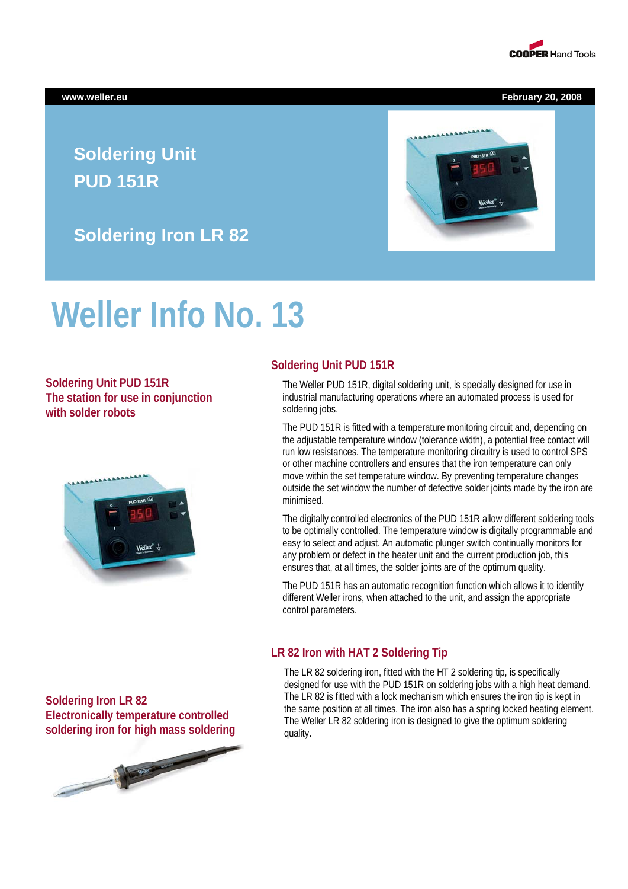

**www.weller.eu February 20, 2008** 

## **Soldering Unit PUD 151R**

**Soldering Iron LR 82** 

# **Weller Info No. 13**

**Soldering Unit PUD 151R The station for use in conjunction with solder robots** 



#### **Soldering Unit PUD 151R**

The Weller PUD 151R, digital soldering unit, is specially designed for use in industrial manufacturing operations where an automated process is used for soldering jobs.

The PUD 151R is fitted with a temperature monitoring circuit and, depending on the adjustable temperature window (tolerance width), a potential free contact will run low resistances. The temperature monitoring circuitry is used to control SPS or other machine controllers and ensures that the iron temperature can only move within the set temperature window. By preventing temperature changes outside the set window the number of defective solder joints made by the iron are minimised.

The digitally controlled electronics of the PUD 151R allow different soldering tools to be optimally controlled. The temperature window is digitally programmable and easy to select and adjust. An automatic plunger switch continually monitors for any problem or defect in the heater unit and the current production job, this ensures that, at all times, the solder joints are of the optimum quality.

The PUD 151R has an automatic recognition function which allows it to identify different Weller irons, when attached to the unit, and assign the appropriate control parameters.

#### **LR 82 Iron with HAT 2 Soldering Tip**

The LR 82 soldering iron, fitted with the HT 2 soldering tip, is specifically designed for use with the PUD 151R on soldering jobs with a high heat demand. The LR 82 is fitted with a lock mechanism which ensures the iron tip is kept in the same position at all times. The iron also has a spring locked heating element. The Weller LR 82 soldering iron is designed to give the optimum soldering quality.

**Soldering Iron LR 82 Electronically temperature controlled soldering iron for high mass soldering**